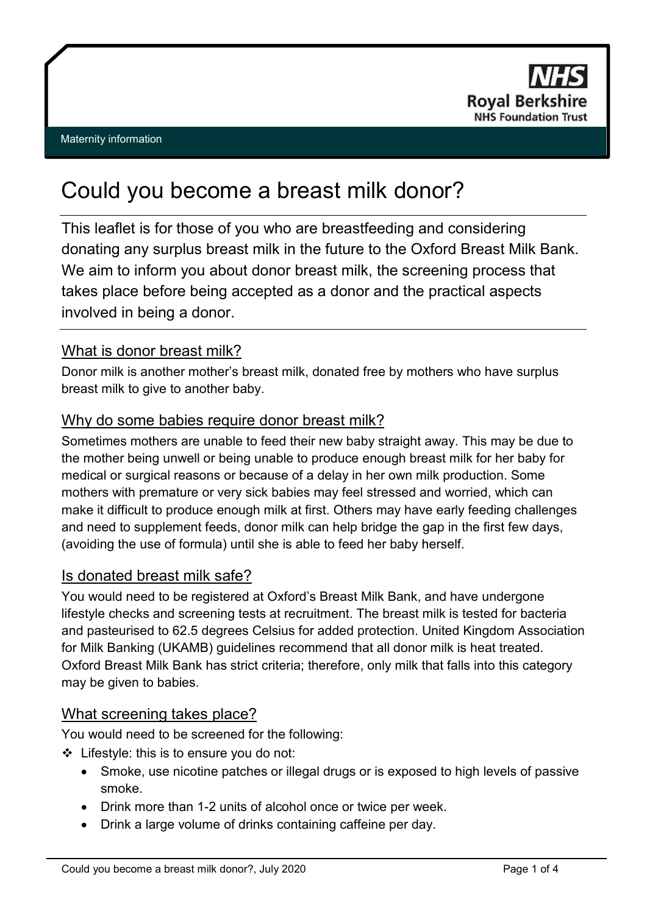

# Could you become a breast milk donor?

This leaflet is for those of you who are breastfeeding and considering donating any surplus breast milk in the future to the Oxford Breast Milk Bank. We aim to inform you about donor breast milk, the screening process that takes place before being accepted as a donor and the practical aspects involved in being a donor.

# What is donor breast milk?

Donor milk is another mother's breast milk, donated free by mothers who have surplus breast milk to give to another baby.

## Why do some babies require donor breast milk?

Sometimes mothers are unable to feed their new baby straight away. This may be due to the mother being unwell or being unable to produce enough breast milk for her baby for medical or surgical reasons or because of a delay in her own milk production. Some mothers with premature or very sick babies may feel stressed and worried, which can make it difficult to produce enough milk at first. Others may have early feeding challenges and need to supplement feeds, donor milk can help bridge the gap in the first few days, (avoiding the use of formula) until she is able to feed her baby herself.

## Is donated breast milk safe?

You would need to be registered at Oxford's Breast Milk Bank, and have undergone lifestyle checks and screening tests at recruitment. The breast milk is tested for bacteria and pasteurised to 62.5 degrees Celsius for added protection. United Kingdom Association for Milk Banking (UKAMB) guidelines recommend that all donor milk is heat treated. Oxford Breast Milk Bank has strict criteria; therefore, only milk that falls into this category may be given to babies.

## What screening takes place?

You would need to be screened for the following:

- Lifestyle: this is to ensure you do not:
	- Smoke, use nicotine patches or illegal drugs or is exposed to high levels of passive smoke.
	- Drink more than 1-2 units of alcohol once or twice per week.
	- Drink a large volume of drinks containing caffeine per day.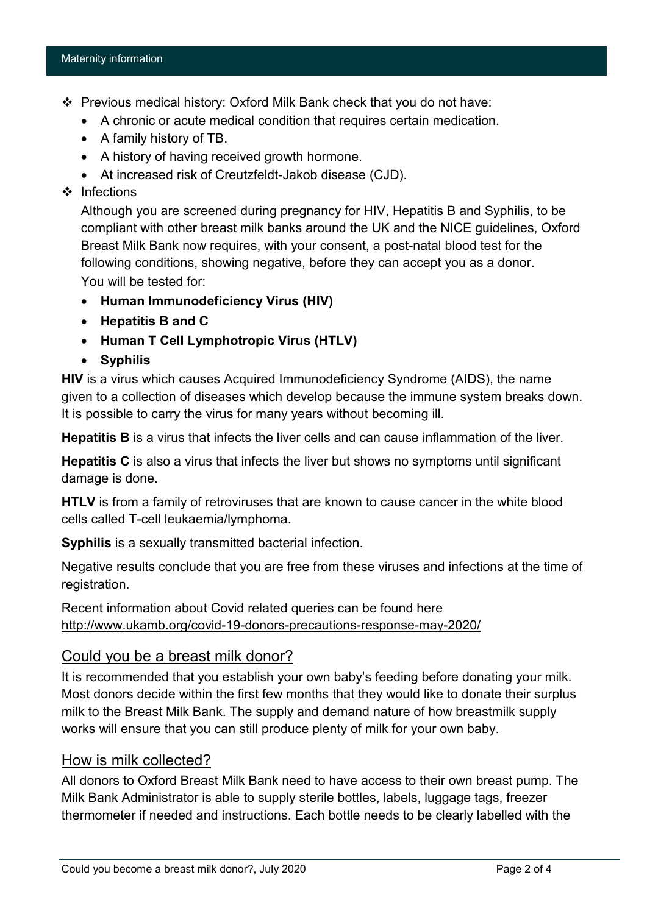#### Maternity information

- Previous medical history: Oxford Milk Bank check that you do not have:
	- A chronic or acute medical condition that requires certain medication.
	- A family history of TB.
	- A history of having received growth hormone.
	- At increased risk of Creutzfeldt-Jakob disease (CJD).
- ❖ Infections

Although you are screened during pregnancy for HIV, Hepatitis B and Syphilis, to be compliant with other breast milk banks around the UK and the NICE guidelines, Oxford Breast Milk Bank now requires, with your consent, a post-natal blood test for the following conditions, showing negative, before they can accept you as a donor. You will be tested for:

- **Human Immunodeficiency Virus (HIV)**
- **Hepatitis B and C**
- **Human T Cell Lymphotropic Virus (HTLV)**
- **Syphilis**

**HIV** is a virus which causes Acquired Immunodeficiency Syndrome (AIDS), the name given to a collection of diseases which develop because the immune system breaks down. It is possible to carry the virus for many years without becoming ill.

**Hepatitis B** is a virus that infects the liver cells and can cause inflammation of the liver.

**Hepatitis C** is also a virus that infects the liver but shows no symptoms until significant damage is done.

**HTLV** is from a family of retroviruses that are known to cause cancer in the white blood cells called T-cell leukaemia/lymphoma.

**Syphilis** is a sexually transmitted bacterial infection.

Negative results conclude that you are free from these viruses and infections at the time of registration.

Recent information about Covid related queries can be found here <http://www.ukamb.org/covid-19-donors-precautions-response-may-2020/>

## Could you be a breast milk donor?

It is recommended that you establish your own baby's feeding before donating your milk. Most donors decide within the first few months that they would like to donate their surplus milk to the Breast Milk Bank. The supply and demand nature of how breastmilk supply works will ensure that you can still produce plenty of milk for your own baby.

## How is milk collected?

All donors to Oxford Breast Milk Bank need to have access to their own breast pump. The Milk Bank Administrator is able to supply sterile bottles, labels, luggage tags, freezer thermometer if needed and instructions. Each bottle needs to be clearly labelled with the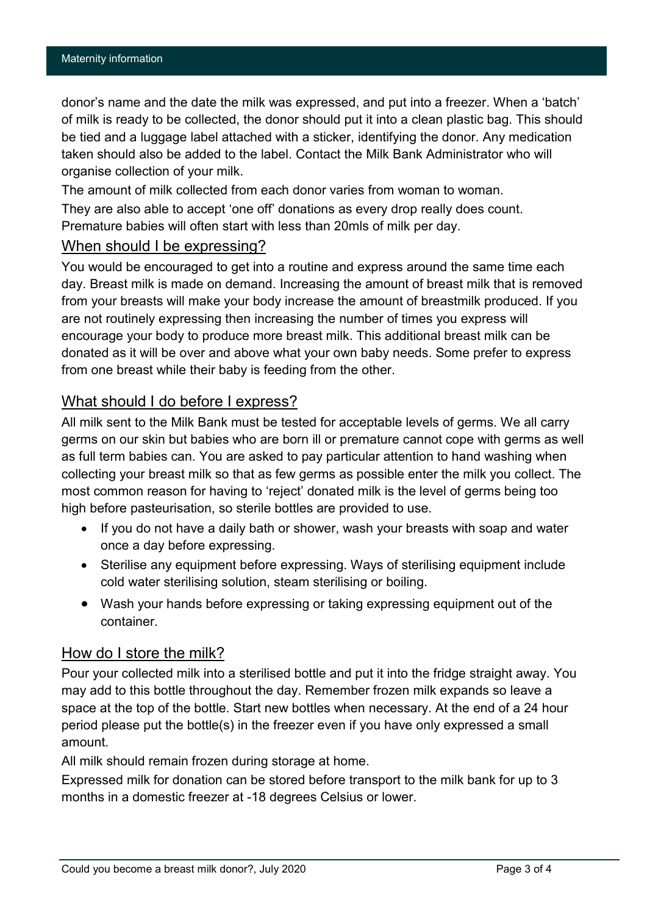donor's name and the date the milk was expressed, and put into a freezer. When a 'batch' of milk is ready to be collected, the donor should put it into a clean plastic bag. This should be tied and a luggage label attached with a sticker, identifying the donor. Any medication taken should also be added to the label. Contact the Milk Bank Administrator who will organise collection of your milk.

The amount of milk collected from each donor varies from woman to woman.

They are also able to accept 'one off' donations as every drop really does count. Premature babies will often start with less than 20mls of milk per day.

## When should I be expressing?

You would be encouraged to get into a routine and express around the same time each day. Breast milk is made on demand. Increasing the amount of breast milk that is removed from your breasts will make your body increase the amount of breastmilk produced. If you are not routinely expressing then increasing the number of times you express will encourage your body to produce more breast milk. This additional breast milk can be donated as it will be over and above what your own baby needs. Some prefer to express from one breast while their baby is feeding from the other.

## What should I do before I express?

All milk sent to the Milk Bank must be tested for acceptable levels of germs. We all carry germs on our skin but babies who are born ill or premature cannot cope with germs as well as full term babies can. You are asked to pay particular attention to hand washing when collecting your breast milk so that as few germs as possible enter the milk you collect. The most common reason for having to 'reject' donated milk is the level of germs being too high before pasteurisation, so sterile bottles are provided to use.

- If you do not have a daily bath or shower, wash your breasts with soap and water once a day before expressing.
- Sterilise any equipment before expressing. Ways of sterilising equipment include cold water sterilising solution, steam sterilising or boiling.
- Wash your hands before expressing or taking expressing equipment out of the container.

## How do I store the milk?

Pour your collected milk into a sterilised bottle and put it into the fridge straight away. You may add to this bottle throughout the day. Remember frozen milk expands so leave a space at the top of the bottle. Start new bottles when necessary. At the end of a 24 hour period please put the bottle(s) in the freezer even if you have only expressed a small amount.

All milk should remain frozen during storage at home.

Expressed milk for donation can be stored before transport to the milk bank for up to 3 months in a domestic freezer at -18 degrees Celsius or lower.